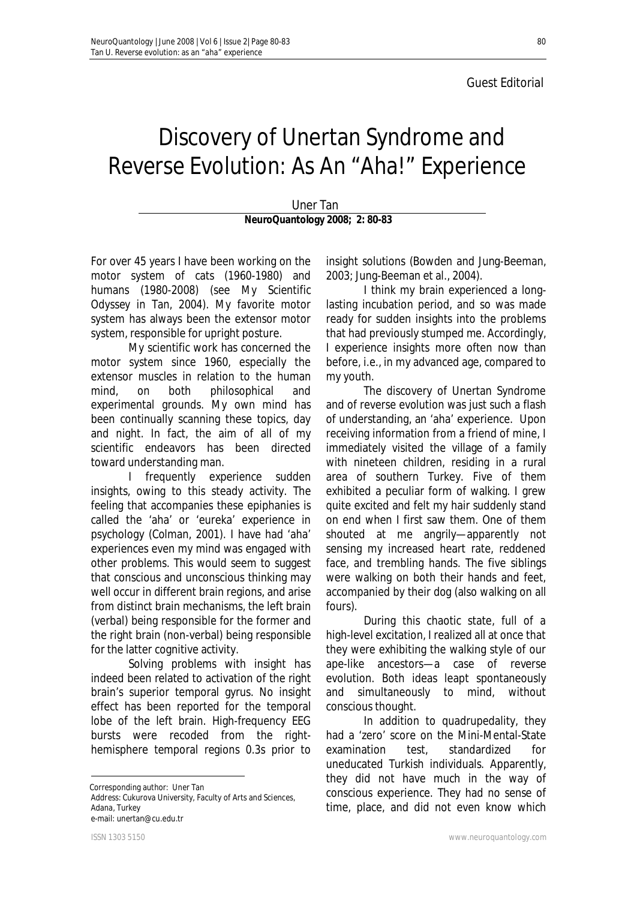## Discovery of Unertan Syndrome and Reverse Evolution: As An "Aha!" Experience

Uner Tan **NeuroQuantology 2008; 2: 80-83**

 For over 45 years I have been working on the motor system of cats (1960-1980) and humans (1980-2008) (see *My Scientific Odyssey* in Tan, 2004). My favorite motor system has always been the extensor motor system, responsible for upright posture.

My scientific work has concerned the motor system since 1960, especially the extensor muscles in relation to the human mind, on both philosophical and experimental grounds. My own mind has been continually scanning these topics, day and night. In fact, the aim of all of my scientific endeavors has been directed toward understanding man.

I frequently experience sudden insights, owing to this steady activity. The feeling that accompanies these epiphanies is called the 'aha' or 'eureka' experience in psychology (Colman, 2001). I have had 'aha' experiences even my mind was engaged with other problems. This would seem to suggest that conscious and unconscious thinking may well occur in different brain regions, and arise from distinct brain mechanisms, the left brain (verbal) being responsible for the former and the right brain (non-verbal) being responsible for the latter cognitive activity.

Solving problems with insight has indeed been related to activation of the right brain's superior temporal gyrus. No insight effect has been reported for the temporal lobe of the left brain. High-frequency EEG bursts were recoded from the righthemisphere temporal regions 0.3s prior to

 $\overline{a}$ Corresponding author: Uner Tan

Address: Cukurova University, Faculty of Arts and Sciences, Adana, Turkey e-mail: unertan@cu.edu.tr

insight solutions (Bowden and Jung-Beeman, 2003; Jung-Beeman et al., 2004).

I think my brain experienced a longlasting incubation period, and so was made ready for sudden insights into the problems that had previously stumped me. Accordingly, I experience insights more often now than before, i.e., in my advanced age, compared to my youth.

The discovery of Unertan Syndrome and of reverse evolution was just such a flash of understanding, an 'aha' experience. Upon receiving information from a friend of mine, I immediately visited the village of a family with nineteen children, residing in a rural area of southern Turkey. Five of them exhibited a peculiar form of walking. I grew quite excited and felt my hair suddenly stand on end when I first saw them. One of them shouted at me angrily—apparently not sensing my increased heart rate, reddened face, and trembling hands. The five siblings were walking on both their hands and feet, accompanied by their dog (also walking on all fours).

During this chaotic state, full of a high-level excitation, I realized all at once that they were exhibiting the walking style of our ape-like ancestors—a case of reverse evolution. Both ideas leapt spontaneously and simultaneously to mind, without conscious thought.

In addition to quadrupedality, they had a 'zero' score on the Mini-Mental-State examination test, standardized for uneducated Turkish individuals. Apparently, they did not have much in the way of conscious experience. They had no sense of time, place, and did not even know which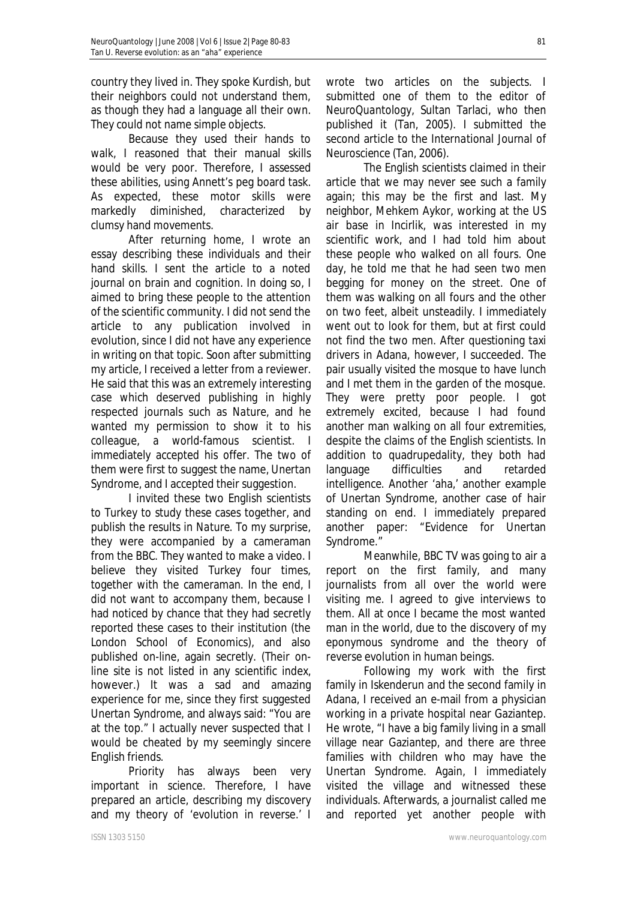country they lived in. They spoke Kurdish, but their neighbors could not understand them, as though they had a language all their own. They could not name simple objects.

Because they used their hands to walk, I reasoned that their manual skills would be very poor. Therefore, I assessed these abilities, using Annett's peg board task. As expected, these motor skills were markedly diminished, characterized by clumsy hand movements.

After returning home, I wrote an essay describing these individuals and their hand skills. I sent the article to a noted journal on brain and cognition. In doing so, I aimed to bring these people to the attention of the scientific community. I did not send the article to any publication involved in evolution, since I did not have any experience in writing on that topic. Soon after submitting my article, I received a letter from a reviewer. He said that this was an extremely interesting case which deserved publishing in highly respected journals such as *Nature,* and he wanted my permission to show it to his colleague, a world-famous scientist. I immediately accepted his offer. The two of them were first to suggest the name, *Unertan Syndrome,* and I accepted their suggestion.

I invited these two English scientists to Turkey to study these cases together, and publish the results in *Nature*. To my surprise, they were accompanied by a cameraman from the BBC. They wanted to make a video. I believe they visited Turkey four times, together with the cameraman. In the end, I did not want to accompany them, because I had noticed by chance that they had secretly reported these cases to their institution (the London School of Economics), and also published on-line, again secretly. (Their online site is not listed in any scientific index, however.) It was a sad and amazing experience for me, since they first suggested *Unertan Syndrome,* and always said: "You are at the top." I actually never suspected that I would be cheated by my seemingly sincere English friends.

Priority has always been very important in science. Therefore, I have prepared an article, describing my discovery and my theory of 'evolution in reverse.' I wrote two articles on the subjects. I submitted one of them to the editor of *NeuroQuantology,* Sultan Tarlaci, who then published it (Tan, 2005). I submitted the second article to the *International Journal of Neuroscience* (Tan, 2006).

The English scientists claimed in their article that we may never see such a family again; this may be the first and last. My neighbor, Mehkem Aykor, working at the US air base in Incirlik, was interested in my scientific work, and I had told him about these people who walked on all fours. One day, he told me that he had seen two men begging for money on the street. One of them was walking on all fours and the other on two feet, albeit unsteadily. I immediately went out to look for them, but at first could not find the two men. After questioning taxi drivers in Adana, however, I succeeded. The pair usually visited the mosque to have lunch and I met them in the garden of the mosque. They were pretty poor people. I got extremely excited, because I had found another man walking on all four extremities, despite the claims of the English scientists. In addition to quadrupedality, they both had language difficulties and retarded intelligence. Another 'aha,' another example of Unertan Syndrome, another case of hair standing on end. I immediately prepared another paper: "Evidence for Unertan Syndrome."

Meanwhile, BBC TV was going to air a report on the first family, and many journalists from all over the world were visiting me. I agreed to give interviews to them. All at once I became the most wanted man in the world, due to the discovery of my eponymous syndrome and the theory of reverse evolution in human beings.

Following my work with the first family in Iskenderun and the second family in Adana, I received an e-mail from a physician working in a private hospital near Gaziantep. He wrote, "I have a big family living in a small village near Gaziantep, and there are three families with children who may have the Unertan Syndrome. Again, I immediately visited the village and witnessed these individuals. Afterwards, a journalist called me and reported yet another people with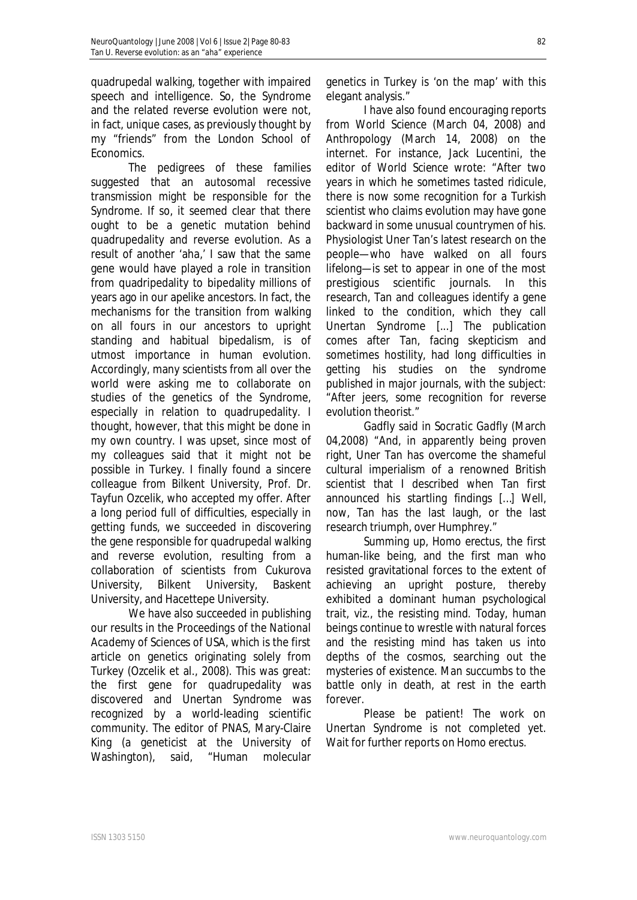quadrupedal walking, together with impaired speech and intelligence. So, the Syndrome and the related reverse evolution were not, in fact, unique cases, as previously thought by my "friends" from the London School of Economics.

The pedigrees of these families suggested that an autosomal recessive transmission might be responsible for the Syndrome. If so, it seemed clear that there ought to be a genetic mutation behind quadrupedality and reverse evolution. As a result of another 'aha,' I saw that the same gene would have played a role in transition from quadripedality to bipedality millions of years ago in our apelike ancestors. In fact, the mechanisms for the transition from walking on all fours in our ancestors to upright standing and habitual bipedalism, is of utmost importance in human evolution. Accordingly, many scientists from all over the world were asking me to collaborate on studies of the genetics of the Syndrome, especially in relation to quadrupedality. I thought, however, that this might be done in my own country. I was upset, since most of my colleagues said that it might *not* be possible in Turkey. I finally found a sincere colleague from Bilkent University, Prof. Dr. Tayfun Ozcelik, who accepted my offer. After a long period full of difficulties, especially in getting funds, we succeeded in discovering the gene responsible for quadrupedal walking and reverse evolution, resulting from a collaboration of scientists from Cukurova University, Bilkent University, Baskent University, and Hacettepe University.

We have also succeeded in publishing our results in the *Proceedings of the National Academy of Sciences of USA,* which is the first article on genetics originating solely from Turkey (Ozcelik et al., 2008). This was great: the first gene for quadrupedality was discovered and Unertan Syndrome was recognized by a world-leading scientific community. The editor of *PNAS,* Mary-Claire King (a geneticist at the University of Washington), said, "Human molecular

genetics in Turkey is 'on the map' with this elegant analysis."

I have also found encouraging reports from *World Science* (March 04, 2008) and *Anthropology* (March 14, 2008) on the internet. For instance, Jack Lucentini, the editor of *World Science* wrote: "After two years in which he sometimes tasted ridicule, there is now some recognition for a Turkish scientist who claims evolution may have gone backward in some unusual countrymen of his. Physiologist Uner Tan's latest research on the people—who have walked on all fours lifelong—is set to appear in one of the most prestigious scientific journals. In this research, Tan and colleagues identify a gene linked to the condition, which they call Unertan Syndrome [...] The publication comes after Tan, facing skepticism and sometimes hostility, had long difficulties in getting his studies on the syndrome published in major journals, with the subject: "After jeers, some recognition for reverse evolution theorist."

Gadfly said in *Socratic Gadfly* (March 04,2008) "And, in apparently being proven right, Uner Tan has overcome the shameful cultural imperialism of a renowned British scientist that I described when Tan first announced his startling findings […] Well, now, Tan has the last laugh, or the last research triumph, over Humphrey."

Summing up, *Homo erectus,* the first human-like being, and the first man who resisted gravitational forces to the extent of achieving an upright posture, thereby exhibited a dominant human psychological trait, viz., the resisting mind. Today, human beings continue to wrestle with natural forces and the resisting mind has taken us into depths of the cosmos, searching out the mysteries of existence. Man succumbs to the battle only in death, at rest in the earth forever.

Please be patient! The work on Unertan Syndrome is not completed yet. Wait for further reports on *Homo erectus.*